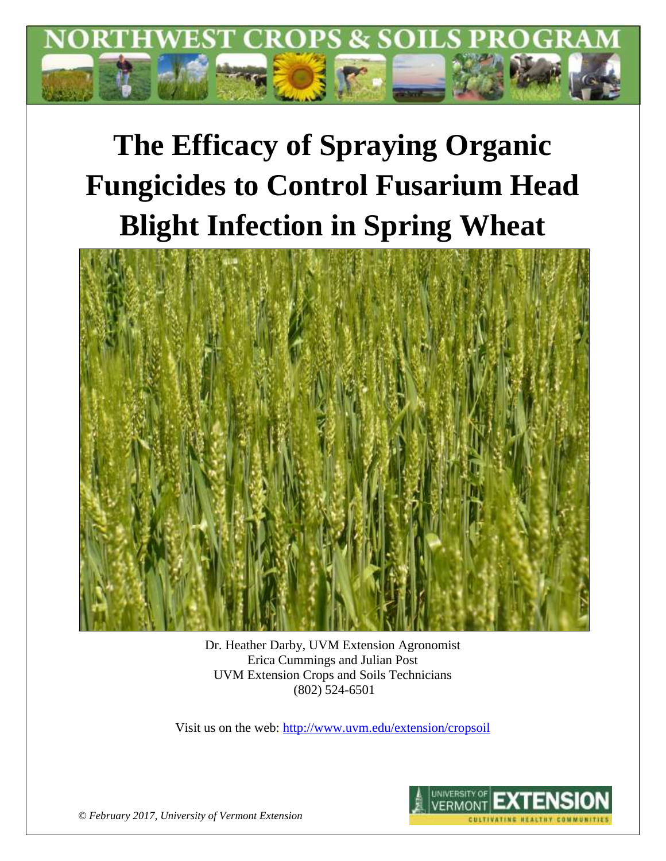

# **The Efficacy of Spraying Organic Fungicides to Control Fusarium Head Blight Infection in Spring Wheat**



Dr. Heather Darby, UVM Extension Agronomist Erica Cummings and Julian Post UVM Extension Crops and Soils Technicians (802) 524-6501

Visit us on the web:<http://www.uvm.edu/extension/cropsoil>



*© February 2017, University of Vermont Extension*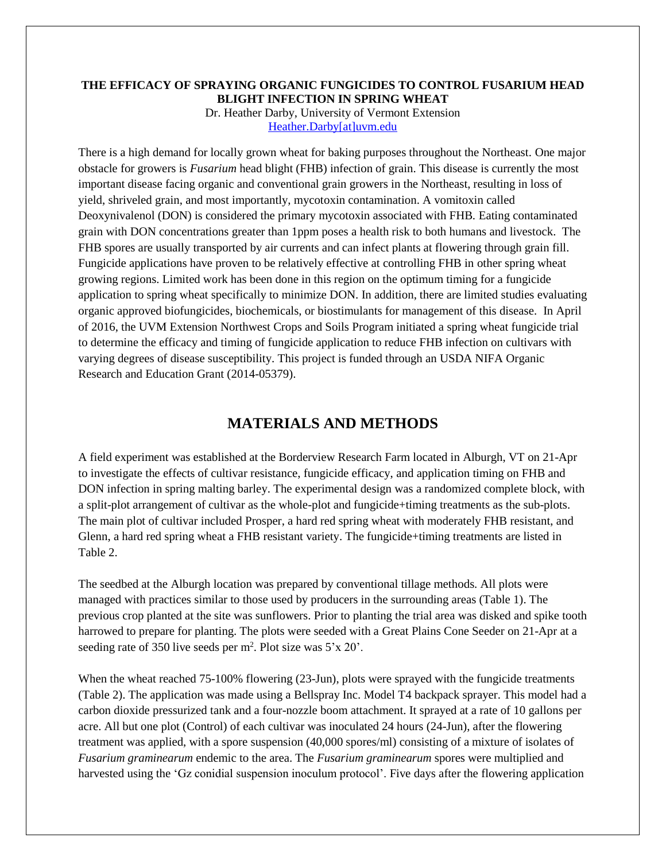#### **THE EFFICACY OF SPRAYING ORGANIC FUNGICIDES TO CONTROL FUSARIUM HEAD BLIGHT INFECTION IN SPRING WHEAT** Dr. Heather Darby, University of Vermont Extension [Heather.Darby\[at\]uvm.edu](mailto:Heather.Darby@uvm.edu)

There is a high demand for locally grown wheat for baking purposes throughout the Northeast. One major obstacle for growers is *Fusarium* head blight (FHB) infection of grain. This disease is currently the most important disease facing organic and conventional grain growers in the Northeast, resulting in loss of yield, shriveled grain, and most importantly, mycotoxin contamination. A vomitoxin called Deoxynivalenol (DON) is considered the primary mycotoxin associated with FHB. Eating contaminated grain with DON concentrations greater than 1ppm poses a health risk to both humans and livestock. The FHB spores are usually transported by air currents and can infect plants at flowering through grain fill. Fungicide applications have proven to be relatively effective at controlling FHB in other spring wheat growing regions. Limited work has been done in this region on the optimum timing for a fungicide application to spring wheat specifically to minimize DON. In addition, there are limited studies evaluating organic approved biofungicides, biochemicals, or biostimulants for management of this disease. In April of 2016, the UVM Extension Northwest Crops and Soils Program initiated a spring wheat fungicide trial to determine the efficacy and timing of fungicide application to reduce FHB infection on cultivars with varying degrees of disease susceptibility. This project is funded through an USDA NIFA Organic Research and Education Grant (2014-05379).

# **MATERIALS AND METHODS**

A field experiment was established at the Borderview Research Farm located in Alburgh, VT on 21-Apr to investigate the effects of cultivar resistance, fungicide efficacy, and application timing on FHB and DON infection in spring malting barley. The experimental design was a randomized complete block, with a split-plot arrangement of cultivar as the whole-plot and fungicide+timing treatments as the sub-plots. The main plot of cultivar included Prosper, a hard red spring wheat with moderately FHB resistant, and Glenn, a hard red spring wheat a FHB resistant variety. The fungicide+timing treatments are listed in Table 2.

The seedbed at the Alburgh location was prepared by conventional tillage methods. All plots were managed with practices similar to those used by producers in the surrounding areas (Table 1). The previous crop planted at the site was sunflowers. Prior to planting the trial area was disked and spike tooth harrowed to prepare for planting. The plots were seeded with a Great Plains Cone Seeder on 21-Apr at a seeding rate of 350 live seeds per  $m^2$ . Plot size was  $5'x 20'$ .

When the wheat reached 75-100% flowering (23-Jun), plots were sprayed with the fungicide treatments (Table 2). The application was made using a Bellspray Inc. Model T4 backpack sprayer. This model had a carbon dioxide pressurized tank and a four-nozzle boom attachment. It sprayed at a rate of 10 gallons per acre. All but one plot (Control) of each cultivar was inoculated 24 hours (24-Jun), after the flowering treatment was applied, with a spore suspension (40,000 spores/ml) consisting of a mixture of isolates of *Fusarium graminearum* endemic to the area. The *Fusarium graminearum* spores were multiplied and harvested using the 'Gz conidial suspension inoculum protocol'. Five days after the flowering application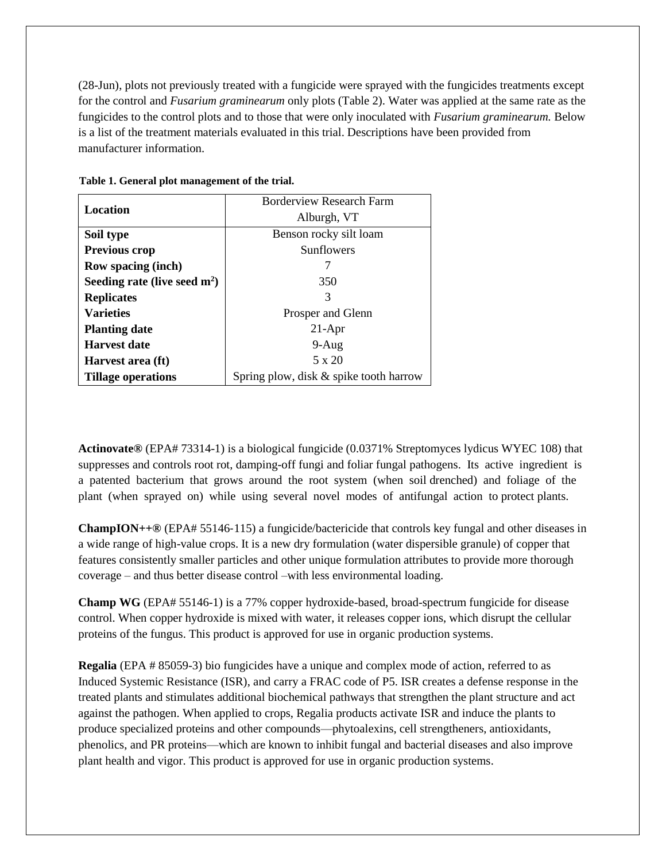(28-Jun), plots not previously treated with a fungicide were sprayed with the fungicides treatments except for the control and *Fusarium graminearum* only plots (Table 2). Water was applied at the same rate as the fungicides to the control plots and to those that were only inoculated with *Fusarium graminearum.* Below is a list of the treatment materials evaluated in this trial. Descriptions have been provided from manufacturer information.

|                                | <b>Borderview Research Farm</b>        |  |  |  |
|--------------------------------|----------------------------------------|--|--|--|
| Location                       | Alburgh, VT                            |  |  |  |
| Soil type                      | Benson rocky silt loam                 |  |  |  |
| Previous crop                  | Sunflowers                             |  |  |  |
| <b>Row spacing (inch)</b>      |                                        |  |  |  |
| Seeding rate (live seed $m2$ ) | 350                                    |  |  |  |
| <b>Replicates</b>              | 3                                      |  |  |  |
| <b>Varieties</b>               | Prosper and Glenn                      |  |  |  |
| <b>Planting date</b>           | $21-Apr$                               |  |  |  |
| <b>Harvest date</b>            | $9-Aug$                                |  |  |  |
| Harvest area (ft)              | 5 x 20                                 |  |  |  |
| <b>Tillage operations</b>      | Spring plow, disk & spike tooth harrow |  |  |  |

**Table 1. General plot management of the trial.**

**Actinovate®** (EPA# 73314-1) is a biological fungicide (0.0371% Streptomyces lydicus WYEC 108) that suppresses and controls root rot, damping-off fungi and foliar fungal pathogens. Its active ingredient is a patented bacterium that grows around the root system (when soil drenched) and foliage of the plant (when sprayed on) while using several novel modes of antifungal action to protect plants.

**ChampION++®** (EPA# 55146‐115) a fungicide/bactericide that controls key fungal and other diseases in a wide range of high-value crops. It is a new dry formulation (water dispersible granule) of copper that features consistently smaller particles and other unique formulation attributes to provide more thorough coverage – and thus better disease control –with less environmental loading.

**Champ WG** (EPA# 55146-1) is a 77% copper hydroxide-based, broad-spectrum fungicide for disease control. When copper hydroxide is mixed with water, it releases copper ions, which disrupt the cellular proteins of the fungus. This product is approved for use in organic production systems.

**Regalia** (EPA # 85059-3) bio fungicides have a unique and complex mode of action, referred to as Induced Systemic Resistance (ISR), and carry a FRAC code of P5. ISR creates a defense response in the treated plants and stimulates additional biochemical pathways that strengthen the plant structure and act against the pathogen. When applied to crops, Regalia products activate ISR and induce the plants to produce specialized proteins and other compounds—phytoalexins, cell strengtheners, antioxidants, phenolics, and PR proteins—which are known to inhibit fungal and bacterial diseases and also improve plant health and vigor. This product is approved for use in organic production systems.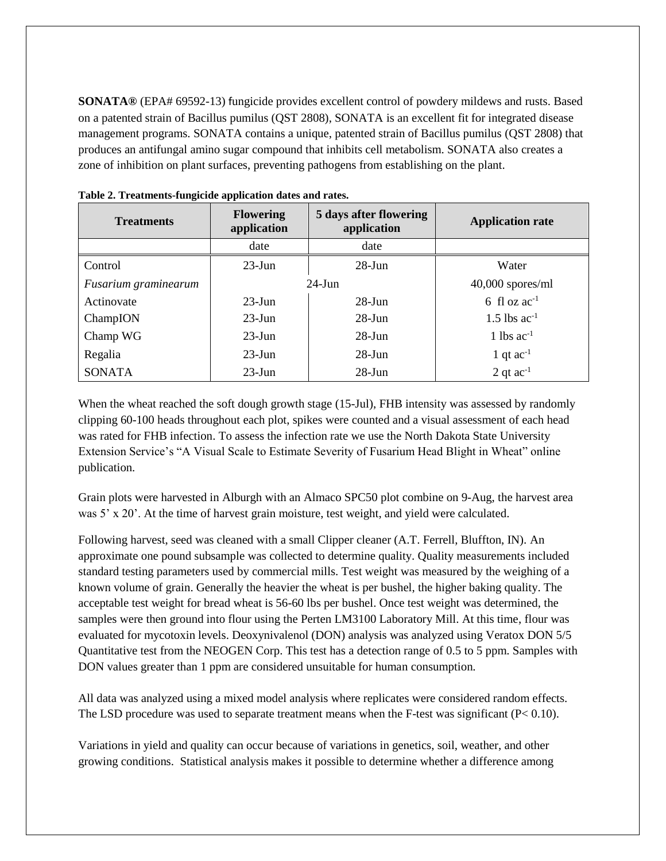**SONATA®** (EPA# 69592-13) fungicide provides excellent control of powdery mildews and rusts. Based on a patented strain of Bacillus pumilus (QST 2808), SONATA is an excellent fit for integrated disease management programs. SONATA contains a unique, patented strain of Bacillus pumilus (QST 2808) that produces an antifungal amino sugar compound that inhibits cell metabolism. SONATA also creates a zone of inhibition on plant surfaces, preventing pathogens from establishing on the plant.

| <b>Treatments</b>    | 5 days after flowering<br><b>Flowering</b><br>application<br>application |            | <b>Application rate</b> |
|----------------------|--------------------------------------------------------------------------|------------|-------------------------|
|                      | date                                                                     | date       |                         |
| Control              | $23$ -Jun                                                                | $28 - Jun$ | Water                   |
| Fusarium graminearum | $24$ -Jun                                                                |            | $40,000$ spores/ml      |
| Actinovate           | $23$ -Jun                                                                | $28 - Jun$ | 6 fl oz $ac^{-1}$       |
| ChampION             | $23$ -Jun                                                                | $28 - Jun$ | 1.5 lbs $ac^{-1}$       |
| Champ WG             | $23$ -Jun                                                                | $28$ -Jun  | 1 lbs $ac^{-1}$         |
| Regalia              | $23$ -Jun                                                                | $28$ -Jun  | 1 qt $ac^{-1}$          |
| <b>SONATA</b>        | $23$ -Jun                                                                | $28$ -Jun  | 2 qt $ac^{-1}$          |

**Table 2. Treatments-fungicide application dates and rates.**

When the wheat reached the soft dough growth stage (15-Jul), FHB intensity was assessed by randomly clipping 60-100 heads throughout each plot, spikes were counted and a visual assessment of each head was rated for FHB infection. To assess the infection rate we use the North Dakota State University Extension Service's "A Visual Scale to Estimate Severity of Fusarium Head Blight in Wheat" online publication.

Grain plots were harvested in Alburgh with an Almaco SPC50 plot combine on 9-Aug, the harvest area was 5' x 20'. At the time of harvest grain moisture, test weight, and yield were calculated.

Following harvest, seed was cleaned with a small Clipper cleaner (A.T. Ferrell, Bluffton, IN). An approximate one pound subsample was collected to determine quality. Quality measurements included standard testing parameters used by commercial mills. Test weight was measured by the weighing of a known volume of grain. Generally the heavier the wheat is per bushel, the higher baking quality. The acceptable test weight for bread wheat is 56-60 lbs per bushel. Once test weight was determined, the samples were then ground into flour using the Perten LM3100 Laboratory Mill. At this time, flour was evaluated for mycotoxin levels. Deoxynivalenol (DON) analysis was analyzed using Veratox DON 5/5 Quantitative test from the NEOGEN Corp. This test has a detection range of 0.5 to 5 ppm. Samples with DON values greater than 1 ppm are considered unsuitable for human consumption.

All data was analyzed using a mixed model analysis where replicates were considered random effects. The LSD procedure was used to separate treatment means when the F-test was significant  $(P< 0.10)$ .

Variations in yield and quality can occur because of variations in genetics, soil, weather, and other growing conditions. Statistical analysis makes it possible to determine whether a difference among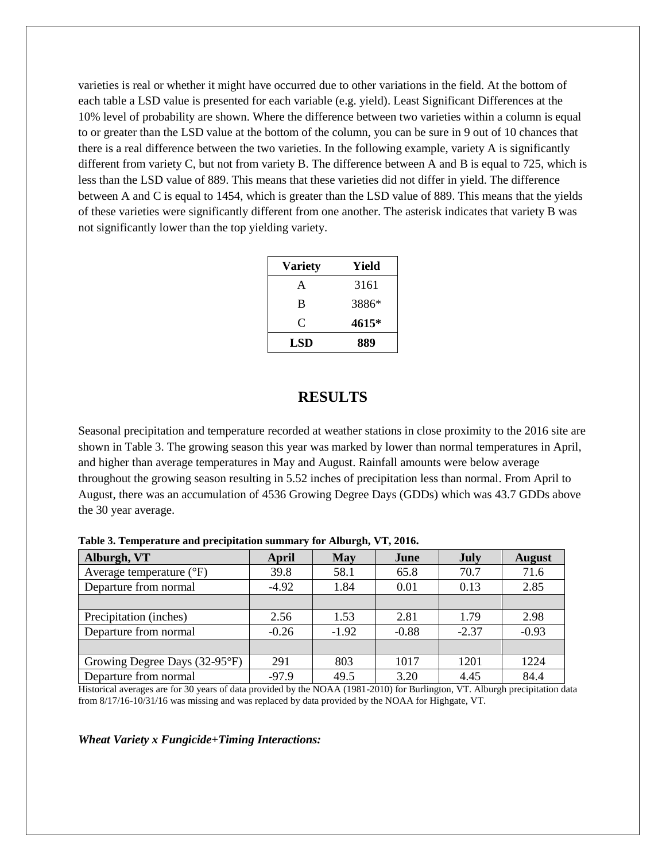varieties is real or whether it might have occurred due to other variations in the field. At the bottom of each table a LSD value is presented for each variable (e.g. yield). Least Significant Differences at the 10% level of probability are shown. Where the difference between two varieties within a column is equal to or greater than the LSD value at the bottom of the column, you can be sure in 9 out of 10 chances that there is a real difference between the two varieties. In the following example, variety A is significantly different from variety C, but not from variety B. The difference between A and B is equal to 725, which is less than the LSD value of 889. This means that these varieties did not differ in yield. The difference between A and C is equal to 1454, which is greater than the LSD value of 889. This means that the yields of these varieties were significantly different from one another. The asterisk indicates that variety B was not significantly lower than the top yielding variety.

| <b>Variety</b> | Yield |
|----------------|-------|
| A              | 3161  |
| B              | 3886* |
| C              | 4615* |
| LSD            | 889   |

## **RESULTS**

Seasonal precipitation and temperature recorded at weather stations in close proximity to the 2016 site are shown in Table 3. The growing season this year was marked by lower than normal temperatures in April, and higher than average temperatures in May and August. Rainfall amounts were below average throughout the growing season resulting in 5.52 inches of precipitation less than normal. From April to August, there was an accumulation of 4536 Growing Degree Days (GDDs) which was 43.7 GDDs above the 30 year average.

| $\sim$ wore of a emperiment which presidentially continuously for fallowing $\sim$ ( $\sim$ ) = 0.1 0.1 |         |            |         |             |               |
|---------------------------------------------------------------------------------------------------------|---------|------------|---------|-------------|---------------|
| Alburgh, VT                                                                                             | April   | <b>May</b> | June    | <b>July</b> | <b>August</b> |
| Average temperature $(^{\circ}F)$                                                                       | 39.8    | 58.1       | 65.8    | 70.7        | 71.6          |
| Departure from normal                                                                                   | $-4.92$ | 1.84       | 0.01    | 0.13        | 2.85          |
|                                                                                                         |         |            |         |             |               |
| Precipitation (inches)                                                                                  | 2.56    | 1.53       | 2.81    | 1.79        | 2.98          |
| Departure from normal                                                                                   | $-0.26$ | $-1.92$    | $-0.88$ | $-2.37$     | $-0.93$       |
|                                                                                                         |         |            |         |             |               |
| Growing Degree Days (32-95°F)                                                                           | 291     | 803        | 1017    | 1201        | 1224          |
| Departure from normal                                                                                   | $-97.9$ | 49.5       | 3.20    | 4.45        | 84.4          |

**Table 3. Temperature and precipitation summary for Alburgh, VT, 2016.**

Historical averages are for 30 years of data provided by the NOAA (1981-2010) for Burlington, VT. Alburgh precipitation data from 8/17/16-10/31/16 was missing and was replaced by data provided by the NOAA for Highgate, VT.

*Wheat Variety x Fungicide+Timing Interactions:*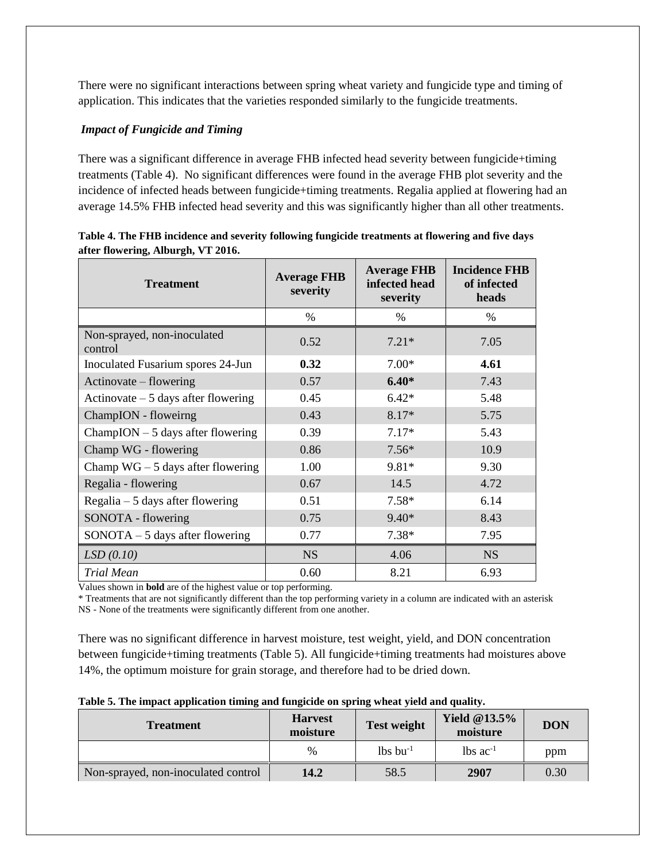There were no significant interactions between spring wheat variety and fungicide type and timing of application. This indicates that the varieties responded similarly to the fungicide treatments.

### *Impact of Fungicide and Timing*

There was a significant difference in average FHB infected head severity between fungicide+timing treatments (Table 4). No significant differences were found in the average FHB plot severity and the incidence of infected heads between fungicide+timing treatments. Regalia applied at flowering had an average 14.5% FHB infected head severity and this was significantly higher than all other treatments.

| <b>Treatment</b>                       | <b>Average FHB</b><br>severity | <b>Average FHB</b><br>infected head<br>severity | <b>Incidence FHB</b><br>of infected<br>heads |
|----------------------------------------|--------------------------------|-------------------------------------------------|----------------------------------------------|
|                                        | $\%$                           | $\%$                                            | %                                            |
| Non-sprayed, non-inoculated<br>control | 0.52                           | $7.21*$                                         | 7.05                                         |
| Inoculated Fusarium spores 24-Jun      | 0.32                           | $7.00*$                                         | 4.61                                         |
| Actinovate – flowering                 | 0.57                           | $6.40*$                                         | 7.43                                         |
| Actinovate $-5$ days after flowering   | 0.45                           | $6.42*$                                         | 5.48                                         |
| ChampION - floweirng                   | 0.43                           | 8.17*                                           | 5.75                                         |
| $ChampION - 5$ days after flowering    | 0.39                           | $7.17*$                                         | 5.43                                         |
| Champ WG - flowering                   | 0.86                           | $7.56*$                                         | 10.9                                         |
| Champ $WG - 5$ days after flowering    | 1.00                           | 9.81*                                           | 9.30                                         |
| Regalia - flowering                    | 0.67                           | 14.5                                            | 4.72                                         |
| Regalia $-5$ days after flowering      | 0.51                           | $7.58*$                                         | 6.14                                         |
| SONOTA - flowering                     | 0.75                           | $9.40*$                                         | 8.43                                         |
| $SONOTA - 5$ days after flowering      | 0.77                           | $7.38*$                                         | 7.95                                         |
| LSD(0.10)                              | <b>NS</b>                      | 4.06                                            | NS                                           |
| <b>Trial Mean</b>                      | 0.60                           | 8.21                                            | 6.93                                         |

| Table 4. The FHB incidence and severity following fungicide treatments at flowering and five days |  |
|---------------------------------------------------------------------------------------------------|--|
| after flowering, Alburgh, VT 2016.                                                                |  |

Values shown in **bold** are of the highest value or top performing.

\* Treatments that are not significantly different than the top performing variety in a column are indicated with an asterisk NS - None of the treatments were significantly different from one another.

There was no significant difference in harvest moisture, test weight, yield, and DON concentration between fungicide+timing treatments (Table 5). All fungicide+timing treatments had moistures above 14%, the optimum moisture for grain storage, and therefore had to be dried down.

| <b>Treatment</b>                    | <b>Harvest</b><br>moisture | <b>Test weight</b>     | <b>Yield @13.5%</b><br>moisture | <b>DON</b> |
|-------------------------------------|----------------------------|------------------------|---------------------------------|------------|
|                                     | $\%$                       | $lbs$ bu <sup>-1</sup> | $\lambda$ lbs ac <sup>-1</sup>  | ppm        |
| Non-sprayed, non-inoculated control | 14.2                       | 58.5                   | 2907                            | 0.30       |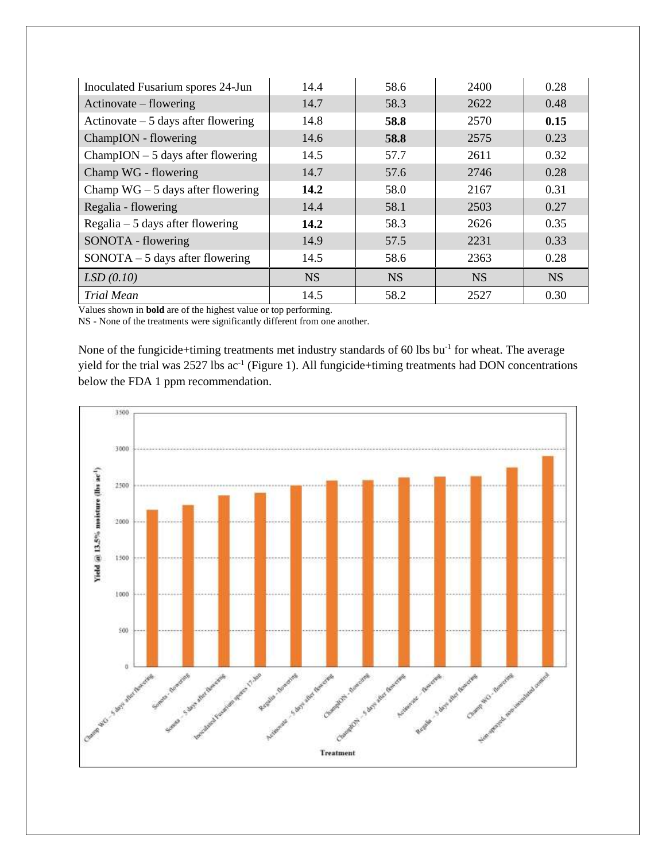| Inoculated Fusarium spores 24-Jun    | 14.4      | 58.6      | 2400      | 0.28      |
|--------------------------------------|-----------|-----------|-----------|-----------|
| Actinovate – flowering               | 14.7      | 58.3      | 2622      | 0.48      |
| Actinovate $-5$ days after flowering | 14.8      | 58.8      | 2570      | 0.15      |
| ChampION - flowering                 | 14.6      | 58.8      | 2575      | 0.23      |
| $ChampION - 5$ days after flowering  | 14.5      | 57.7      | 2611      | 0.32      |
| Champ WG - flowering                 | 14.7      | 57.6      | 2746      | 0.28      |
| Champ $WG - 5$ days after flowering  | 14.2      | 58.0      | 2167      | 0.31      |
| Regalia - flowering                  | 14.4      | 58.1      | 2503      | 0.27      |
| Regalia $-5$ days after flowering    | 14.2      | 58.3      | 2626      | 0.35      |
| SONOTA - flowering                   | 14.9      | 57.5      | 2231      | 0.33      |
| $SONOTA - 5$ days after flowering    | 14.5      | 58.6      | 2363      | 0.28      |
| LSD(0.10)                            | <b>NS</b> | <b>NS</b> | <b>NS</b> | <b>NS</b> |
| <b>Trial Mean</b>                    | 14.5      | 58.2      | 2527      | 0.30      |

Values shown in **bold** are of the highest value or top performing.

NS - None of the treatments were significantly different from one another.

None of the fungicide+timing treatments met industry standards of 60 lbs bu<sup>-1</sup> for wheat. The average yield for the trial was  $2527$  lbs ac<sup>-1</sup> (Figure 1). All fungicide+timing treatments had DON concentrations below the FDA 1 ppm recommendation.

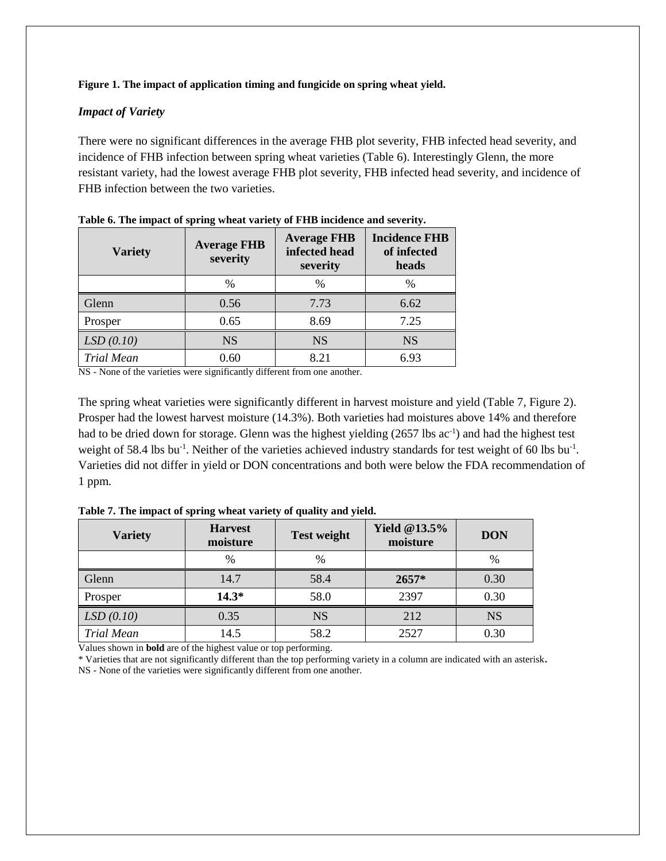#### **Figure 1. The impact of application timing and fungicide on spring wheat yield.**

#### *Impact of Variety*

There were no significant differences in the average FHB plot severity, FHB infected head severity, and incidence of FHB infection between spring wheat varieties (Table 6). Interestingly Glenn, the more resistant variety, had the lowest average FHB plot severity, FHB infected head severity, and incidence of FHB infection between the two varieties.

| <b>Variety</b>    | <b>Average FHB</b><br>severity | <b>Average FHB</b><br>infected head<br>severity | <b>Incidence FHB</b><br>of infected<br>heads |
|-------------------|--------------------------------|-------------------------------------------------|----------------------------------------------|
|                   | $\%$                           | $\%$                                            | $\%$                                         |
| Glenn             | 0.56                           | 7.73                                            | 6.62                                         |
| Prosper           | 0.65                           | 8.69                                            | 7.25                                         |
| LSD(0.10)         | <b>NS</b>                      | <b>NS</b>                                       | <b>NS</b>                                    |
| <b>Trial Mean</b> | 0.60                           | 8.21                                            | 6.93                                         |

|  |  | Table 6. The impact of spring wheat variety of FHB incidence and severity. |
|--|--|----------------------------------------------------------------------------|
|  |  |                                                                            |

NS - None of the varieties were significantly different from one another.

The spring wheat varieties were significantly different in harvest moisture and yield (Table 7, Figure 2). Prosper had the lowest harvest moisture (14.3%). Both varieties had moistures above 14% and therefore had to be dried down for storage. Glenn was the highest yielding (2657 lbs ac<sup>-1</sup>) and had the highest test weight of 58.4 lbs bu<sup>-1</sup>. Neither of the varieties achieved industry standards for test weight of 60 lbs bu<sup>-1</sup>. Varieties did not differ in yield or DON concentrations and both were below the FDA recommendation of 1 ppm.

| <b>Variety</b>    | <b>Harvest</b><br>moisture | <b>Test weight</b> | <b>Yield @13.5%</b><br>moisture | <b>DON</b> |
|-------------------|----------------------------|--------------------|---------------------------------|------------|
|                   | $\frac{0}{0}$              | $\%$               |                                 | $\%$       |
| Glenn             | 14.7                       | 58.4               | $2657*$                         | 0.30       |
| Prosper           | $14.3*$                    | 58.0               | 2397                            | 0.30       |
| LSD(0.10)         | 0.35                       | <b>NS</b>          | 212                             | <b>NS</b>  |
| <b>Trial Mean</b> | 14.5                       | 58.2               | 2527                            | 0.30       |

**Table 7. The impact of spring wheat variety of quality and yield.**

Values shown in **bold** are of the highest value or top performing.

\* Varieties that are not significantly different than the top performing variety in a column are indicated with an asterisk**.** NS - None of the varieties were significantly different from one another.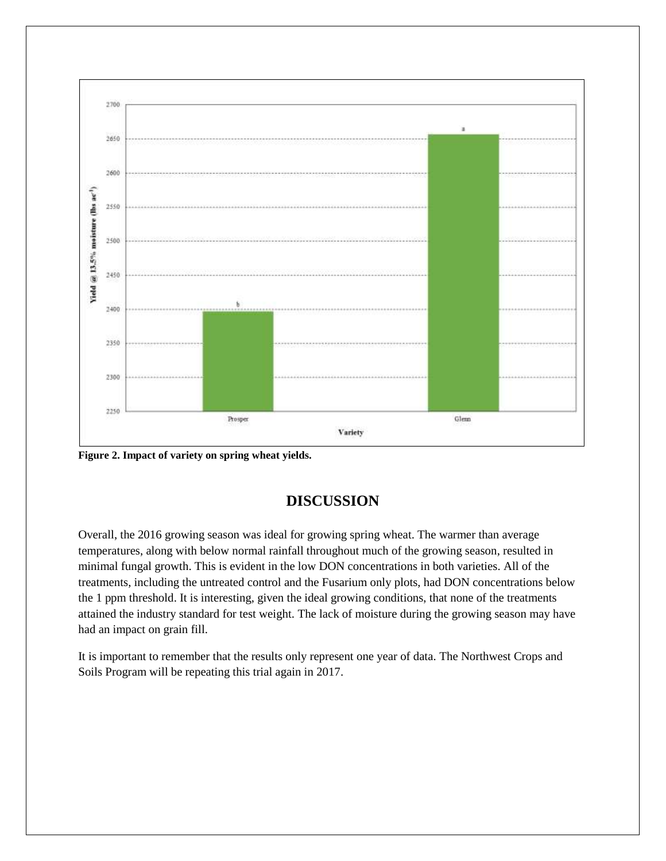

**Figure 2. Impact of variety on spring wheat yields.**

# **DISCUSSION**

Overall, the 2016 growing season was ideal for growing spring wheat. The warmer than average temperatures, along with below normal rainfall throughout much of the growing season, resulted in minimal fungal growth. This is evident in the low DON concentrations in both varieties. All of the treatments, including the untreated control and the Fusarium only plots, had DON concentrations below the 1 ppm threshold. It is interesting, given the ideal growing conditions, that none of the treatments attained the industry standard for test weight. The lack of moisture during the growing season may have had an impact on grain fill.

It is important to remember that the results only represent one year of data. The Northwest Crops and Soils Program will be repeating this trial again in 2017.